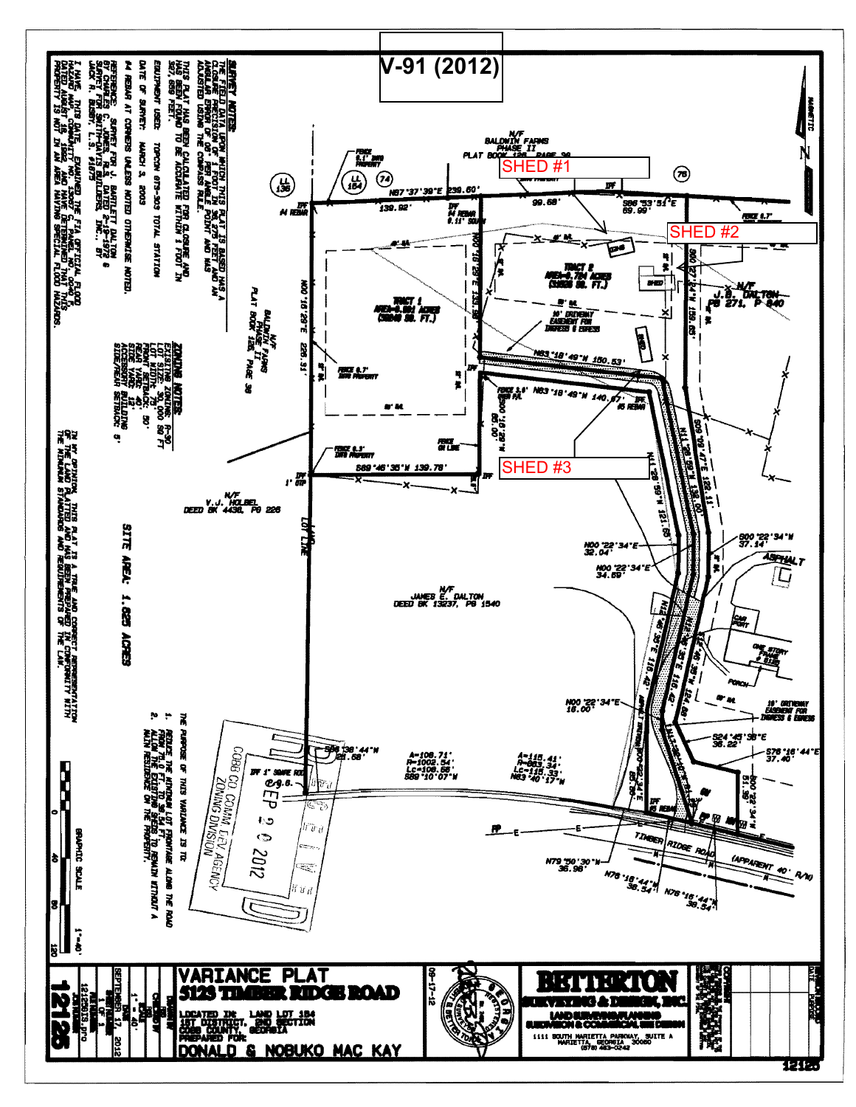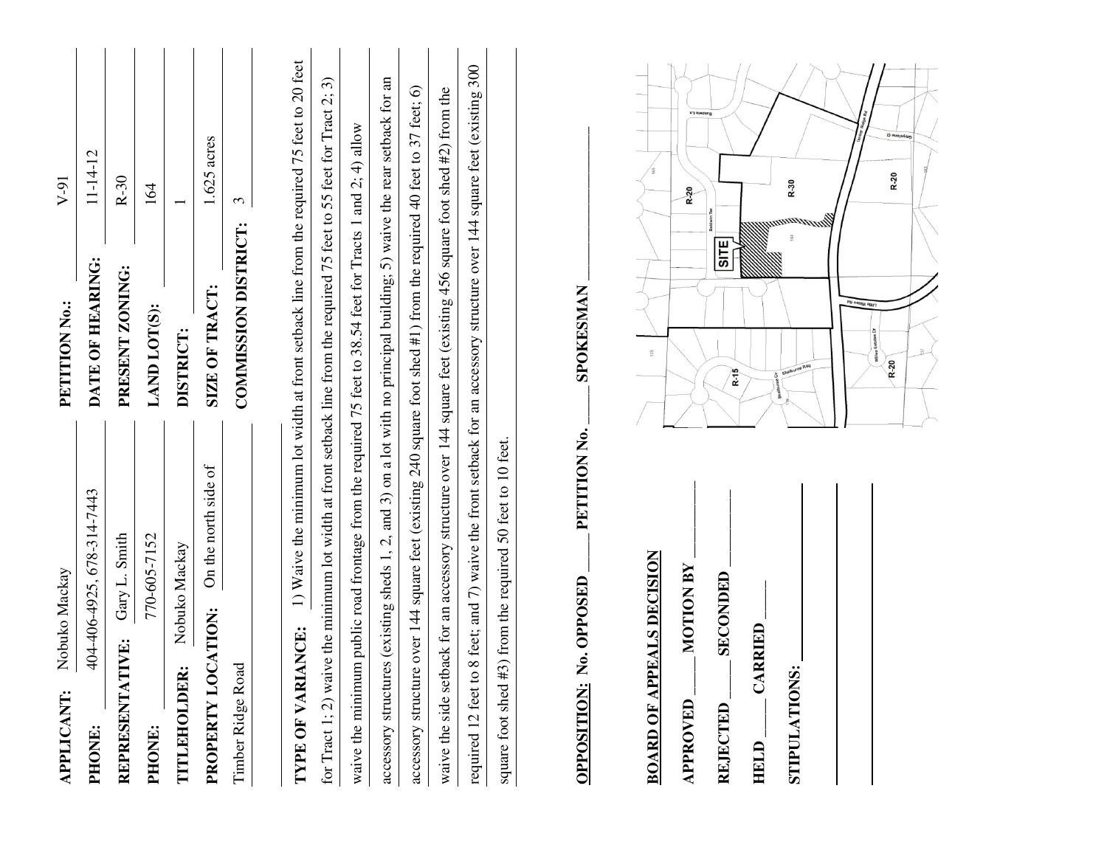| Nobuko Mackay<br>APPLICANT:                                                                                                 | PETITION No.:                                                                             | $16 - \Lambda$ |
|-----------------------------------------------------------------------------------------------------------------------------|-------------------------------------------------------------------------------------------|----------------|
| 404-406-4925, 678-314-7443<br>PHONE:                                                                                        | DATE OF HEARING:                                                                          | $11 - 14 - 12$ |
| Gary L. Smith<br>REPRESENTATIVE:                                                                                            | PRESENT ZONING:                                                                           | $R-30$         |
| 770-605-7152<br>PHONE:                                                                                                      | LAND LOT(S):                                                                              | 164            |
| Nobuko Mackay<br>TITLEHOLDER:                                                                                               | DISTRICT:                                                                                 |                |
| On the north side of<br>PROPERTY LOCATION:                                                                                  | <b>SIZE OF TRACT:</b>                                                                     | 1.625 acres    |
| Timber Ridge Road                                                                                                           | COMMISSION DISTRICT:                                                                      | $\mathfrak{c}$ |
| TYPE OF VARIANCE:                                                                                                           | 1) Waive the minimum lot width at front setback line from the required 75 feet to 20 feet |                |
| for Tract 1; 2) waive the minimum lot width at front setback line from the required 75 feet to 55 feet for Tract 2; 3)      |                                                                                           |                |
| waive the minimum public road frontage from the required 75 feet to 38.54 feet for Tracts 1 and 2; 4) allow                 |                                                                                           |                |
| accessory structures (existing sheds 1, 2, and 3) on a lot with no principal building; 5) waive the rear setback for an     |                                                                                           |                |
| accessory structure over 144 square feet (existing 240 square foot shed #1) from the required 40 feet to 37 feet; 6)        |                                                                                           |                |
| waive the side setback for an accessory structure over 144 square feet (existing 456 square foot shed #2) from the          |                                                                                           |                |
| 8 feet; and 7) waive the front setback for an accessory structure over 144 square feet (existing 300<br>required 12 feet to |                                                                                           |                |
| square foot shed #3) from the required 50 feet to 10 feet.                                                                  |                                                                                           |                |
|                                                                                                                             |                                                                                           |                |

**OPPOSITION: No. OPPOSED \_\_\_\_\_\_ PETITION No. \_\_\_\_\_ SPOKESMAN \_\_\_\_\_\_\_\_\_\_\_\_\_\_\_\_\_\_\_** SPOKESMAN PETITION No. OPPOSITION: No. OPPOSED

**BOARD OF APPEALS DECISION**

**BOARD OF APPEALS DECISION** 

135

| R-20                         | <b>Baldwin Ter</b><br><b>SITE</b><br>R-15 |                 | R-30<br>164.<br>burne Rdg<br>Shelburne Cv | D. | the Willeo Rd<br>i |
|------------------------------|-------------------------------------------|-----------------|-------------------------------------------|----|--------------------|
| <b>MOTION BY</b><br>APPROVED | <b>SECONDED</b><br>REJECTED               | CARRIED<br>HELD | STIPULATIONS:                             |    |                    |

**ID anote** 

R-20

willes R-20

nJ niwbles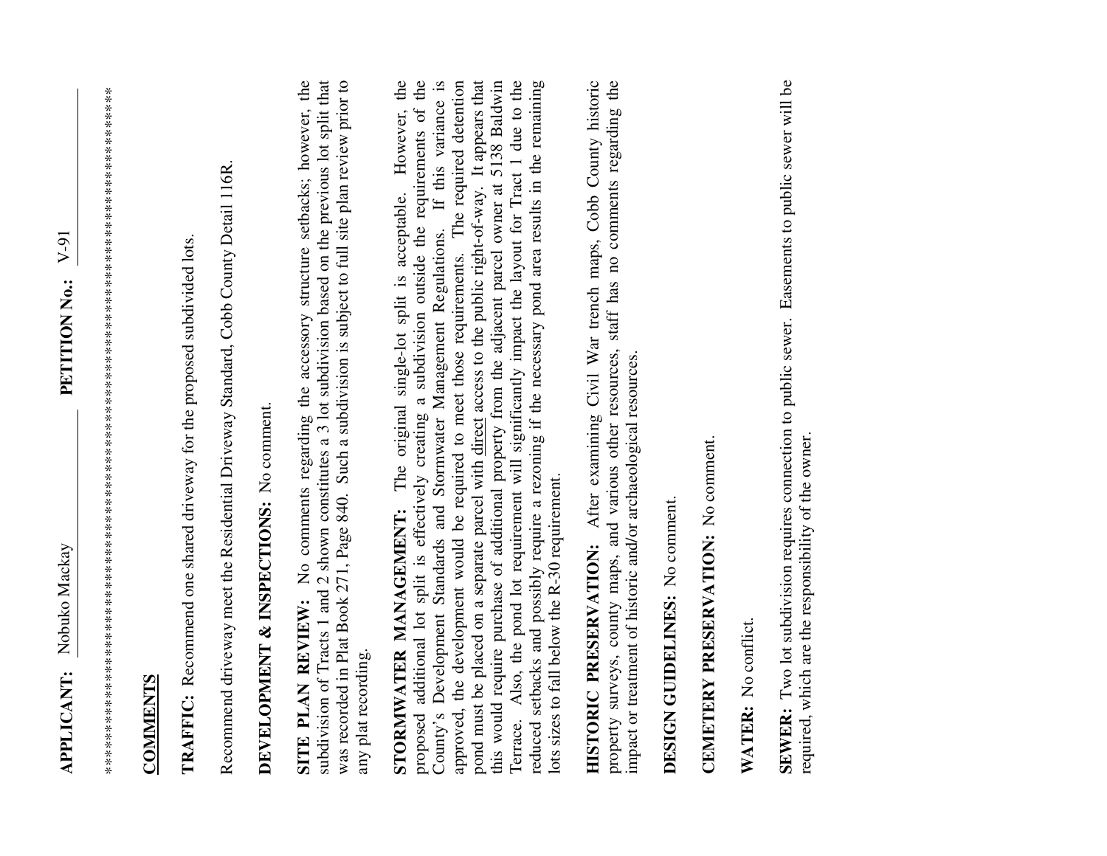\*\*\*\*\*\*\*\*\*\*\*\*\*\*\*\*\*\*\*\*\*\*\*\*\*\*\*\*\*\*\*\*\*\*\*\*\*\*\*\*\*\*\*\*\*\*\*\*\*\*\*\*\*\*\*\*\*\*\*\*\*\*\*\*\*\*\*\*\*\*\*\*\*\*\*\*\*\*\*\*\*\* 

## **COMMENTS COMMENTS**

**TRAFFIC:** Recommend one shared driveway for the proposed subdivided lots. TRAFFIC: Recommend one shared driveway for the proposed subdivided lots.

Recommend driveway meet the Residential Driveway Standard, Cobb County Detail 116R. Recommend driveway meet the Residential Driveway Standard, Cobb County Detail 116R.

## **DEVELOPMENT & INSPECTIONS:** No comment.

**SITE PLAN REVIEW:** No comments regarding the accessory structure setbacks; however, the subdivision of Tracts 1 and 2 shown constitutes a 3 lot subdivision based on the previous lot split that subdivision of Tracts 1 and 2 shown constitutes a 3 lot subdivision based on the previous lot split that was recorded in Plat Book 271, Page 840. Such a subdivision is subject to full site plan review prior to SITE PLAN REVIEW: No comments regarding the accessory structure setbacks; however, the was recorded in Plat Book 271, Page 840. Such a subdivision is subject to full site plan review prior to any plat recording. any plat recording.

**STORMWATER MANAGEMENT:** The original single-lot split is acceptable. However, the proposed additional lot split is effectively creating a subdivision outside the requirements of the proposed additional lot split is effectively creating a subdivision outside the requirements of the County's Development Standards and Stormwater Management Regulations. If this variance is County's Development Standards and Stormwater Management Regulations. If this variance is approved, the development would be required to meet those requirements. The required detention approved, the development would be required to meet those requirements. The required detention pond must be placed on a separate parcel with direct access to the public right-of-way. It appears that pond must be placed on a separate parcel with direct access to the public right-of-way. It appears that this would require purchase of additional property from the adjacent parcel owner at 5138 Baldwin this would require purchase of additional property from the adjacent parcel owner at 5138 Baldwin Terrace. Also, the pond lot requirement will significantly impact the layout for Tract 1 due to the reduced setbacks and possibly require a rezoning if the necessary pond area results in the remaining Terrace. Also, the pond lot requirement will significantly impact the layout for Tract 1 due to the However, the reduced setbacks and possibly require a rezoning if the necessary pond area results in the remaining The original single-lot split is acceptable. lots sizes to fall below the R-30 requirement. lots sizes to fall below the R-30 requirement. STORMWATER MANAGEMENT:

**HISTORIC PRESERVATION:** After examining Civil War trench maps, Cobb County historic property surveys, county maps, and various other resources, staff has no comments regarding the After examining Civil War trench maps, Cobb County historic property surveys, county maps, and various other resources, staff has no comments regarding the impact or treatment of historic and/or archaeological resources. impact or treatment of historic and/or archaeological resources. HISTORIC PRESERVATION:

**DESIGN GUIDELINES:** No comment. DESIGN GUIDELINES: No comment.

**CEMETERY PRESERVATION:** No comment. CEMETERY PRESERVATION: No comment.

**WATER:** No conflict. WATER: No conflict.

**SEWER:** Two lot subdivision requires connection to public sewer. Easements to public sewer will be SEWER: Two lot subdivision requires connection to public sewer. Easements to public sewer will be required, which are the responsibility of the owner. required, which are the responsibility of the owner.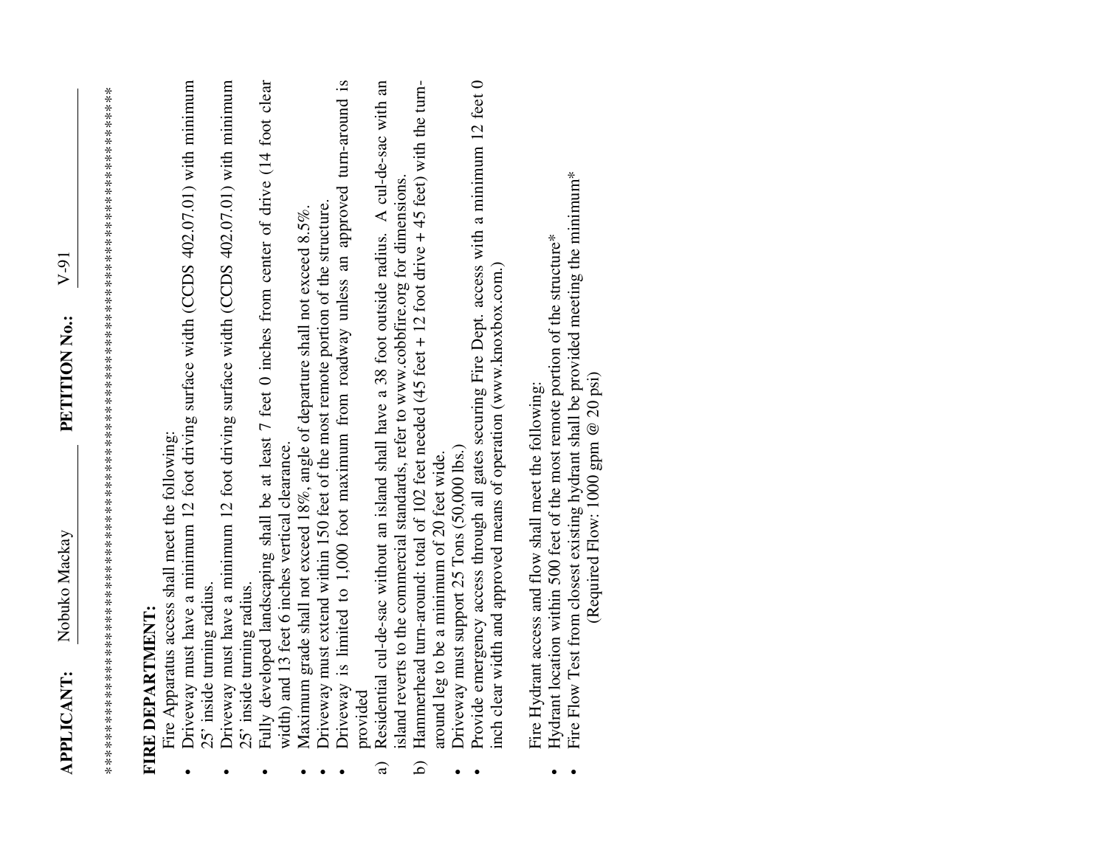\*\*\*\*\*\*\*\*\*\*\*\*\*\*\*\*\*\*\*\*\*\*\*\*\*\*\*\*\*\*\*\*\*\*\*\*\*\*\*\*\*\*\*\*\*\*\*\*\*\*\*\*\*\*\*\*\*\*\*\*\*\*\*\*\*\*\*\*\*\*\*\*\*\*\*\*\*\*\*\*\*\* 

## **FIRE DEPARTMENT:**  FIRE DEPARTMENT:

 Fire Apparatus access shall meet the following: Fire Apparatus access shall meet the following:

- Driveway must have a minimum 12 foot driving surface width (CCDS 402.07.01) with minimum Driveway must have a minimum 12 foot driving surface width (CCDS 402.07.01) with minimum 25' inside turning radius. 25' inside turning radius.  $\bullet$
- Driveway must have a minimum 12 foot driving surface width (CCDS 402.07.01) with minimum Driveway must have a minimum 12 foot driving surface width (CCDS 402.07.01) with minimum 25' inside turning radius. 25' inside turning radius.
	- Fully developed landscaping shall be at least 7 feet 0 inches from center of drive (14 foot clear Fully developed landscaping shall be at least 7 feet 0 inches from center of drive (14 foot clear width) and 13 feet 6 inches vertical clearance. width) and 13 feet 6 inches vertical clearance.
		- Maximum grade shall not exceed 18%, angle of departure shall not exceed 8.5%. Maximum grade shall not exceed 18%, angle of departure shall not exceed 8.5%.
- Driveway must extend within 150 feet of the most remote portion of the structure. Driveway must extend within 150 feet of the most remote portion of the structure.
- Driveway is limited to 1,000 foot maximum from roadway unless an approved turn-around is Driveway is limited to 1,000 foot maximum from roadway unless an approved turn-around is provided
- a) Residential cul-de-sac without an island shall have a 38 foot outside radius. A cul-de-sac with an Residential cul-de-sac without an island shall have a 38 foot outside radius. A cul-de-sac with an island reverts to the commercial standards, refer to www.cobbfire.org for dimensions. island reverts to the commercial standards, refer to www.cobbfire.org for dimensions. ದ
	- Hammerhead turn-around: total of 102 feet needed (45 feet  $+$  12 foot drive  $+$  45 feet) with the turnb) Hammerhead turn-around: total of 102 feet needed (45 feet + 12 foot drive + 45 feet) with the turnaround leg to be a minimum of 20 feet wide. around leg to be a minimum of 20 feet wide. 6
		- Driveway must support 25 Tons (50,000 lbs.) Driveway must support 25 Tons (50,000 lbs.)
- Provide emergency access through all gates securing Fire Dept. access with a minimum 12 feet 0 Provide emergency access through all gates securing Fire Dept. access with a minimum 12 feet 0 inch clear width and approved means of operation (www.knoxbox.com.) inch clear width and approved means of operation (www.knoxbox.com.)
- Fire Hydrant access and flow shall meet the following: Fire Hydrant access and flow shall meet the following:
- Hydrant location within 500 feet of the most remote portion of the structure\* Hydrant location within 500 feet of the most remote portion of the structure\*  $\bullet$  $\bullet$
- Fire Flow Test from closest existing hydrant shall be provided meeting the minimum\* Fire Flow Test from closest existing hydrant shall be provided meeting the minimum\*
	- (Required Flow: 1000 gpm  $@$  20 psi) (Required Flow: 1000 gpm @ 20 psi)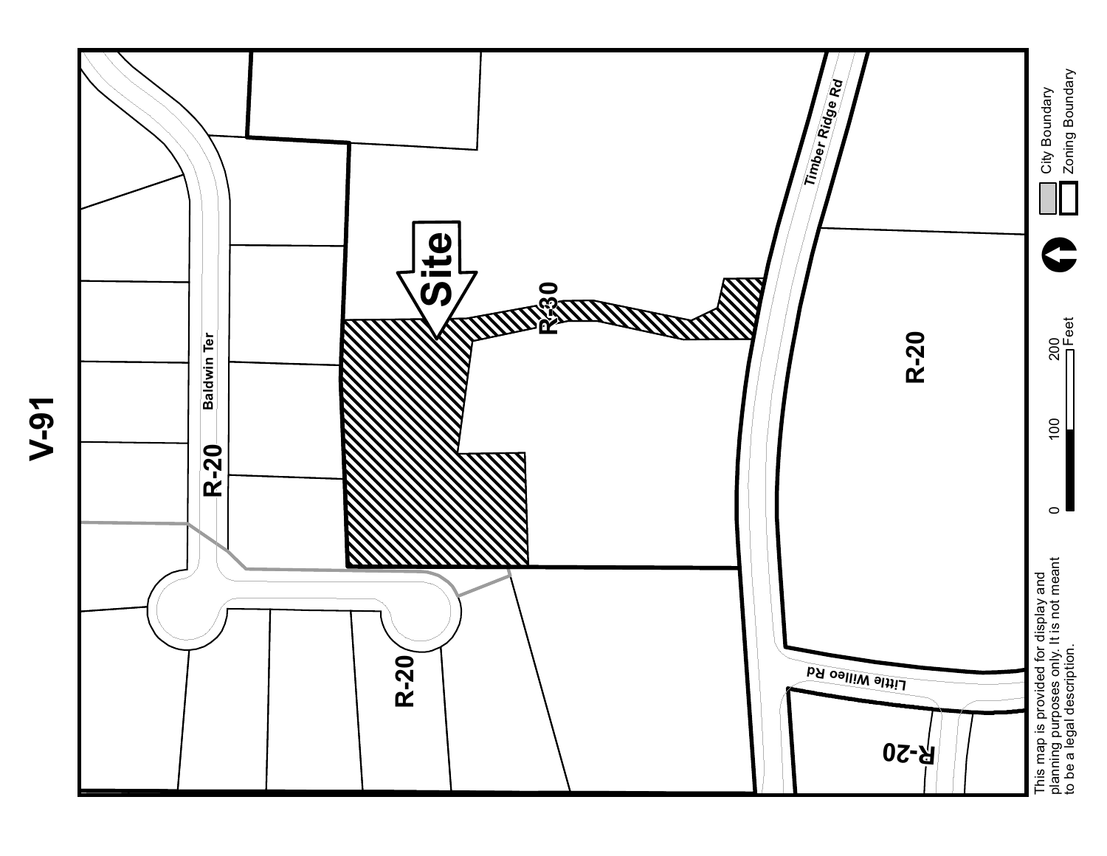